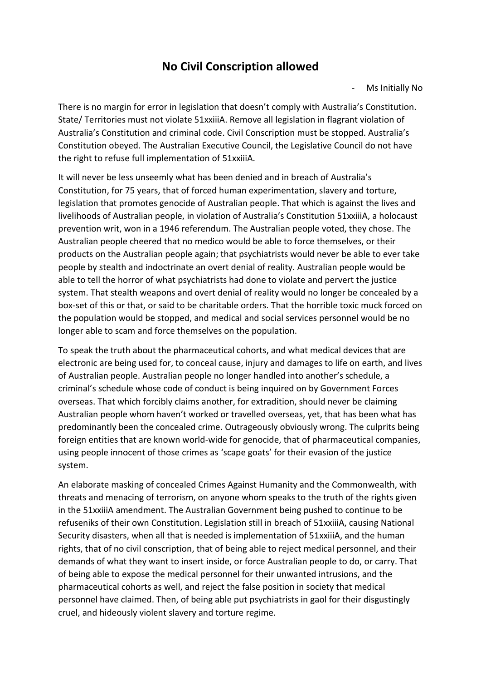## **No Civil Conscription allowed**

Ms Initially No

There is no margin for error in legislation that doesn't comply with Australia's Constitution. State/ Territories must not violate 51xxiiiA. Remove all legislation in flagrant violation of Australia's Constitution and criminal code. Civil Conscription must be stopped. Australia's Constitution obeyed. The Australian Executive Council, the Legislative Council do not have the right to refuse full implementation of 51xxiiiA.

It will never be less unseemly what has been denied and in breach of Australia's Constitution, for 75 years, that of forced human experimentation, slavery and torture, legislation that promotes genocide of Australian people. That which is against the lives and livelihoods of Australian people, in violation of Australia's Constitution 51xxiiiA, a holocaust prevention writ, won in a 1946 referendum. The Australian people voted, they chose. The Australian people cheered that no medico would be able to force themselves, or their products on the Australian people again; that psychiatrists would never be able to ever take people by stealth and indoctrinate an overt denial of reality. Australian people would be able to tell the horror of what psychiatrists had done to violate and pervert the justice system. That stealth weapons and overt denial of reality would no longer be concealed by a box-set of this or that, or said to be charitable orders. That the horrible toxic muck forced on the population would be stopped, and medical and social services personnel would be no longer able to scam and force themselves on the population.

To speak the truth about the pharmaceutical cohorts, and what medical devices that are electronic are being used for, to conceal cause, injury and damages to life on earth, and lives of Australian people. Australian people no longer handled into another's schedule, a criminal's schedule whose code of conduct is being inquired on by Government Forces overseas. That which forcibly claims another, for extradition, should never be claiming Australian people whom haven't worked or travelled overseas, yet, that has been what has predominantly been the concealed crime. Outrageously obviously wrong. The culprits being foreign entities that are known world-wide for genocide, that of pharmaceutical companies, using people innocent of those crimes as 'scape goats' for their evasion of the justice system.

An elaborate masking of concealed Crimes Against Humanity and the Commonwealth, with threats and menacing of terrorism, on anyone whom speaks to the truth of the rights given in the 51xxiiiA amendment. The Australian Government being pushed to continue to be refuseniks of their own Constitution. Legislation still in breach of 51xxiiiA, causing National Security disasters, when all that is needed is implementation of 51xxiiiA, and the human rights, that of no civil conscription, that of being able to reject medical personnel, and their demands of what they want to insert inside, or force Australian people to do, or carry. That of being able to expose the medical personnel for their unwanted intrusions, and the pharmaceutical cohorts as well, and reject the false position in society that medical personnel have claimed. Then, of being able put psychiatrists in gaol for their disgustingly cruel, and hideously violent slavery and torture regime.